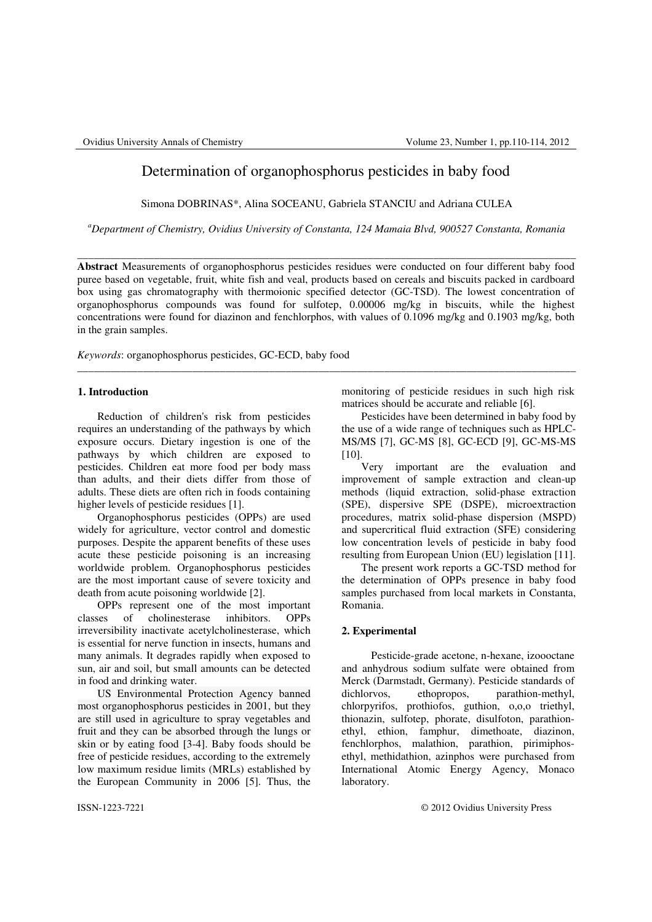# Determination of organophosphorus pesticides in baby food

Simona DOBRINAS\*, Alina SOCEANU, Gabriela STANCIU and Adriana CULEA

*<sup>a</sup>Department of Chemistry, Ovidius University of Constanta, 124 Mamaia Blvd, 900527 Constanta, Romania* 

\_\_\_\_\_\_\_\_\_\_\_\_\_\_\_\_\_\_\_\_\_\_\_\_\_\_\_\_\_\_\_\_\_\_\_\_\_\_\_\_\_\_\_\_\_\_\_\_\_\_\_\_\_\_\_\_\_\_\_\_\_\_\_\_\_\_\_\_\_\_\_\_\_\_\_\_\_\_\_\_\_\_\_\_\_\_\_\_\_\_\_

**Abstract** Measurements of organophosphorus pesticides residues were conducted on four different baby food puree based on vegetable, fruit, white fish and veal, products based on cereals and biscuits packed in cardboard box using gas chromatography with thermoionic specified detector (GC-TSD). The lowest concentration of organophosphorus compounds was found for sulfotep, 0.00006 mg/kg in biscuits, while the highest concentrations were found for diazinon and fenchlorphos, with values of 0.1096 mg/kg and 0.1903 mg/kg, both in the grain samples.

\_\_\_\_\_\_\_\_\_\_\_\_\_\_\_\_\_\_\_\_\_\_\_\_\_\_\_\_\_\_\_\_\_\_\_\_\_\_\_\_\_\_\_\_\_\_\_\_\_\_\_\_\_\_\_\_\_\_\_\_\_\_\_\_\_\_\_\_\_\_\_\_\_\_\_\_\_\_\_\_\_\_\_\_\_\_\_\_\_\_\_

*Keywords*: organophosphorus pesticides, GC-ECD, baby food

## **1. Introduction**

Reduction of children's risk from pesticides requires an understanding of the pathways by which exposure occurs. Dietary ingestion is one of the pathways by which children are exposed to pesticides. Children eat more food per body mass than adults, and their diets differ from those of adults. These diets are often rich in foods containing higher levels of pesticide residues [1].

Organophosphorus pesticides (OPPs) are used widely for agriculture, vector control and domestic purposes. Despite the apparent benefits of these uses acute these pesticide poisoning is an increasing worldwide problem. Organophosphorus pesticides are the most important cause of severe toxicity and death from acute poisoning worldwide [2].

OPPs represent one of the most important classes of cholinesterase inhibitors. OPPs irreversibility inactivate acetylcholinesterase, which is essential for nerve function in insects, humans and many animals. It degrades rapidly when exposed to sun, air and soil, but small amounts can be detected in food and drinking water.

US Environmental Protection Agency banned most organophosphorus pesticides in 2001, but they are still used in agriculture to spray vegetables and fruit and they can be absorbed through the lungs or skin or by eating food [3-4]. Baby foods should be free of pesticide residues, according to the extremely low maximum residue limits (MRLs) established by the European Community in 2006 [5]. Thus, the

monitoring of pesticide residues in such high risk matrices should be accurate and reliable [6].

Pesticides have been determined in baby food by the use of a wide range of techniques such as HPLC-MS/MS [7], GC-MS [8], GC-ECD [9], GC-MS-MS [10].

Very important are the evaluation and improvement of sample extraction and clean-up methods (liquid extraction, solid-phase extraction (SPE), dispersive SPE (DSPE), microextraction procedures, matrix solid-phase dispersion (MSPD) and supercritical fluid extraction (SFE) considering low concentration levels of pesticide in baby food resulting from European Union (EU) legislation [11].

The present work reports a GC-TSD method for the determination of OPPs presence in baby food samples purchased from local markets in Constanta, Romania.

## **2. Experimental**

Pesticide-grade acetone, n-hexane, izoooctane and anhydrous sodium sulfate were obtained from Merck (Darmstadt, Germany). Pesticide standards of dichlorvos, ethopropos, parathion-methyl, chlorpyrifos, prothiofos, guthion, o,o,o triethyl, thionazin, sulfotep, phorate, disulfoton, parathionethyl, ethion, famphur, dimethoate, diazinon, fenchlorphos, malathion, parathion, pirimiphosethyl, methidathion, azinphos were purchased from International Atomic Energy Agency, Monaco laboratory.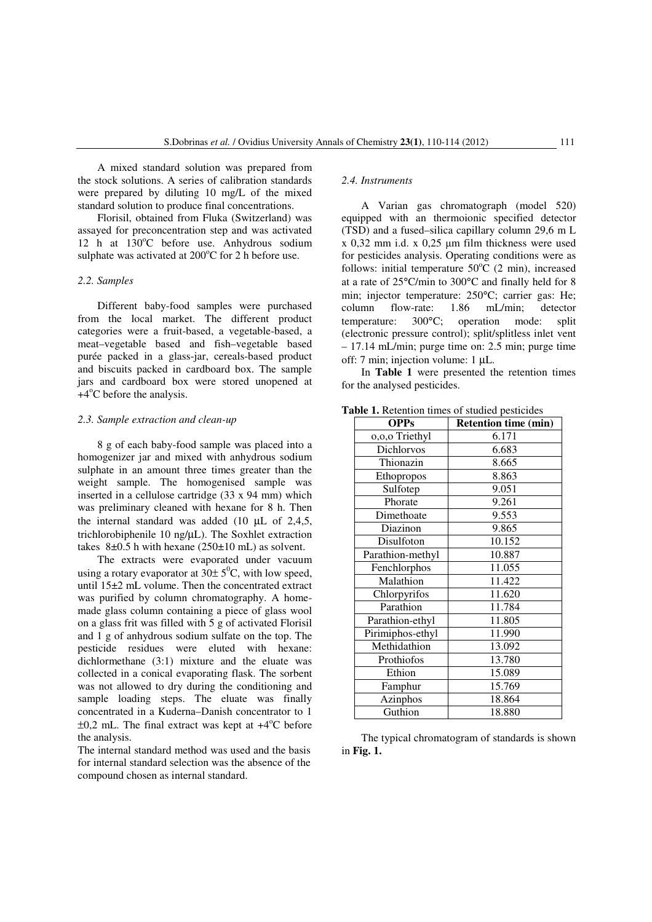A mixed standard solution was prepared from the stock solutions. A series of calibration standards were prepared by diluting 10 mg/L of the mixed standard solution to produce final concentrations.

Florisil, obtained from Fluka (Switzerland) was assayed for preconcentration step and was activated 12 h at  $130^{\circ}$ C before use. Anhydrous sodium sulphate was activated at  $200^{\circ}$ C for 2 h before use.

### *2.2. Samples*

Different baby-food samples were purchased from the local market. The different product categories were a fruit-based, a vegetable-based, a meat–vegetable based and fish–vegetable based purée packed in a glass-jar, cereals-based product and biscuits packed in cardboard box. The sample jars and cardboard box were stored unopened at  $+4^{\circ}$ C before the analysis.

#### *2.3. Sample extraction and clean-up*

8 g of each baby-food sample was placed into a homogenizer jar and mixed with anhydrous sodium sulphate in an amount three times greater than the weight sample. The homogenised sample was inserted in a cellulose cartridge (33 x 94 mm) which was preliminary cleaned with hexane for 8 h. Then the internal standard was added (10  $\mu$ L of 2,4,5, trichlorobiphenile 10 ng/µL). The Soxhlet extraction takes  $8\pm0.5$  h with hexane  $(250\pm10 \text{ mL})$  as solvent.

The extracts were evaporated under vacuum using a rotary evaporator at  $30\pm 5^0C$ , with low speed, until 15±2 mL volume. Then the concentrated extract was purified by column chromatography. A homemade glass column containing a piece of glass wool on a glass frit was filled with 5 g of activated Florisil and 1 g of anhydrous sodium sulfate on the top. The pesticide residues were eluted with hexane: dichlormethane (3:1) mixture and the eluate was collected in a conical evaporating flask. The sorbent was not allowed to dry during the conditioning and sample loading steps. The eluate was finally concentrated in a Kuderna–Danish concentrator to 1  $\pm 0.2$  mL. The final extract was kept at  $+4^{\circ}$ C before the analysis.

The internal standard method was used and the basis for internal standard selection was the absence of the compound chosen as internal standard.

#### *2.4. Instruments*

A Varian gas chromatograph (model 520) equipped with an thermoionic specified detector (TSD) and a fused–silica capillary column 29,6 m L x 0,32 mm i.d. x 0,25 µm film thickness were used for pesticides analysis. Operating conditions were as follows: initial temperature  $50^{\circ}$ C (2 min), increased at a rate of 25°C/min to 300°C and finally held for 8 min; injector temperature: 250°C; carrier gas: He;<br>column flow-rate: 1.86 mI/min: detector column flow-rate: 1.86 mL/min; detector temperature: 300°C; operation mode: split (electronic pressure control); split/splitless inlet vent – 17.14 mL/min; purge time on: 2.5 min; purge time off: 7 min; injection volume: 1 µL.

In **Table 1** were presented the retention times for the analysed pesticides.

| <b>OPPs</b>      | <b>Retention time (min)</b> |  |  |
|------------------|-----------------------------|--|--|
| 0,0,0 Triethyl   | 6.171                       |  |  |
| Dichlorvos       | 6.683                       |  |  |
| Thionazin        | 8.665                       |  |  |
| Ethopropos       | 8.863                       |  |  |
| Sulfotep         | 9.051                       |  |  |
| Phorate          | 9.261                       |  |  |
| Dimethoate       | 9.553                       |  |  |
| Diazinon         | 9.865                       |  |  |
| Disulfoton       | 10.152                      |  |  |
| Parathion-methyl | 10.887                      |  |  |
| Fenchlorphos     | 11.055                      |  |  |
| Malathion        | 11.422                      |  |  |
| Chlorpyrifos     | 11.620                      |  |  |
| Parathion        | 11.784                      |  |  |
| Parathion-ethyl  | 11.805                      |  |  |
| Pirimiphos-ethyl | 11.990                      |  |  |
| Methidathion     | 13.092                      |  |  |
| Prothiofos       | 13.780                      |  |  |
| Ethion           | 15.089                      |  |  |
| Famphur          | 15.769                      |  |  |
| Azinphos         | 18.864                      |  |  |
| Guthion          | 18.880                      |  |  |

**Table 1.** Retention times of studied pesticides

The typical chromatogram of standards is shown in **Fig. 1.**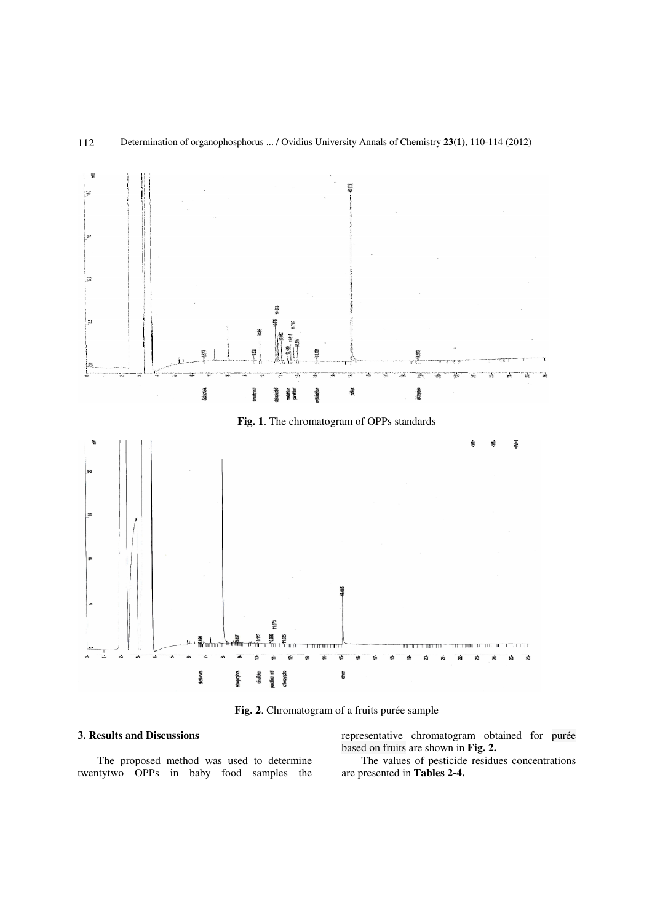

**Fig. 2**. Chromatogram of a fruits purée sample

# **3. Results and Discussions**

The proposed method was used to determine twentytwo OPPs in baby food samples the representative chromatogram obtained for purée based on fruits are shown in **Fig. 2.**

The values of pesticide residues concentrations are presented in **Tables 2-4.**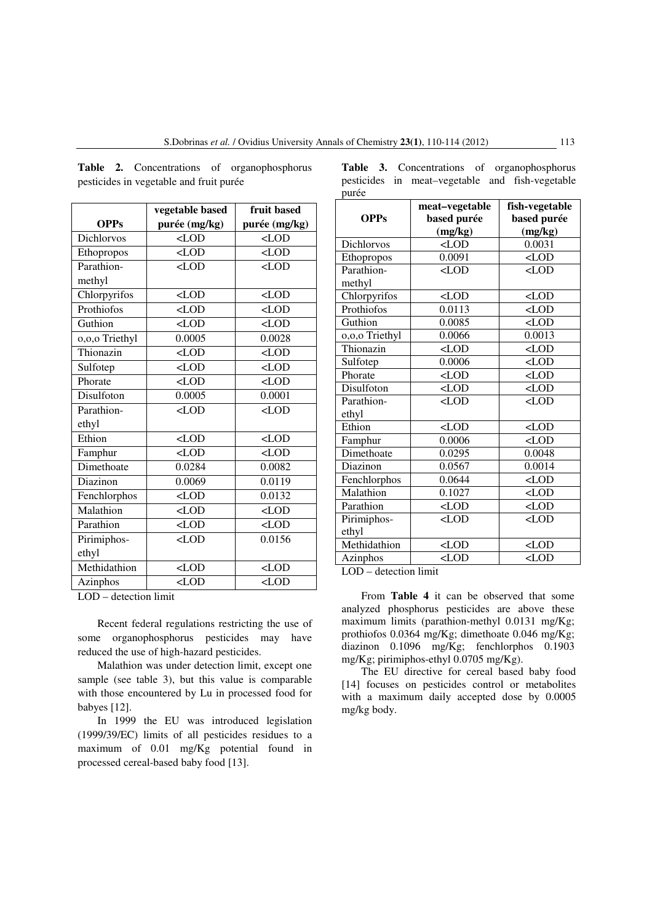**Table 2.** Concentrations of organophosphorus pesticides in vegetable and fruit purée

|                | vegetable based                                  | fruit based   |
|----------------|--------------------------------------------------|---------------|
| <b>OPPs</b>    | purée (mg/kg)                                    | purée (mg/kg) |
| Dichlorvos     | $<$ LOD                                          | $\langle$ LOD |
| Ethopropos     | $<$ LOD                                          | $<$ LOD       |
| Parathion-     | $<$ LOD                                          | $<$ LOD       |
| methyl         |                                                  |               |
| Chlorpyrifos   | $<$ LOD                                          | $<$ LOD       |
| Prothiofos     | $<$ LOD                                          | $<$ LOD       |
| Guthion        | $<$ LOD                                          | $<$ LOD       |
| o,o,o Triethyl | 0.0005                                           | 0.0028        |
| Thionazin      | $<$ LOD                                          | $<$ LOD       |
| Sulfotep       | $<$ LOD                                          | $<$ LOD       |
| Phorate        | $<$ LOD                                          | $\langle$ LOD |
| Disulfoton     | 0.0005                                           | 0.0001        |
| Parathion-     | $<$ LOD                                          | $<$ LOD       |
| ethyl          |                                                  |               |
| Ethion         | $<$ LOD                                          | $\langle$ LOD |
| Famphur        | $<$ LOD                                          | $\langle$ LOD |
| Dimethoate     | 0.0284                                           | 0.0082        |
| Diazinon       | 0.0069                                           | 0.0119        |
| Fenchlorphos   | $<$ LOD                                          | 0.0132        |
| Malathion      | $<$ LOD                                          | $<$ LOD       |
| Parathion      | $<$ LOD                                          | $\langle$ LOD |
| Pirimiphos-    | $<$ LOD                                          | 0.0156        |
| ethyl          |                                                  |               |
| Methidathion   | $<$ LOD                                          | $\langle$ LOD |
| Azinphos       | <lod< td=""><td><math>&lt;</math>LOD</td></lod<> | $<$ LOD       |

LOD – detection limit

Recent federal regulations restricting the use of some organophosphorus pesticides may have reduced the use of high-hazard pesticides.

Malathion was under detection limit, except one sample (see table 3), but this value is comparable with those encountered by Lu in processed food for babyes [12].

In 1999 the EU was introduced legislation (1999/39/EC) limits of all pesticides residues to a maximum of 0.01 mg/Kg potential found in processed cereal-based baby food [13].

|       |  |  | Table 3. Concentrations of organophosphorus     |
|-------|--|--|-------------------------------------------------|
|       |  |  | pesticides in meat-vegetable and fish-vegetable |
| purée |  |  |                                                 |

|                | meat-vegetable | fish-vegetable |
|----------------|----------------|----------------|
| <b>OPPs</b>    | based purée    | based purée    |
|                | (mg/kg)        | (mg/kg)        |
| Dichlorvos     | $<$ LOD        | 0.0031         |
| Ethopropos     | 0.0091         | $<$ LOD        |
| Parathion-     | $<$ LOD        | $<$ LOD        |
| methyl         |                |                |
| Chlorpyrifos   | $<$ LOD        | $<$ LOD        |
| Prothiofos     | 0.0113         | $<$ LOD        |
| Guthion        | 0.0085         | $<$ LOD        |
| 0,0,0 Triethyl | 0.0066         | 0.0013         |
| Thionazin      | $\sim$ LOD     | $<$ LOD        |
| Sulfotep       | 0.0006         | $<$ LOD        |
| Phorate        | $<$ LOD        | $<$ LOD        |
| Disulfoton     | $<$ LOD        | $<$ LOD        |
| Parathion-     | $<$ LOD        | $<$ LOD        |
| ethyl          |                |                |
| Ethion         | $\sim$ LOD     | $<$ LOD        |
| Famphur        | 0.0006         | $<$ LOD        |
| Dimethoate     | 0.0295         | 0.0048         |
| Diazinon       | 0.0567         | 0.0014         |
| Fenchlorphos   | 0.0644         | $<$ LOD        |
| Malathion      | 0.1027         | $<$ LOD        |
| Parathion      | $<$ LOD        | $<$ LOD        |
| Pirimiphos-    | $<$ LOD        | $<$ LOD        |
| ethyl          |                |                |
| Methidathion   | $<$ LOD        | $<$ LOD        |
| Azinphos       | $\sim$ LOD     | $<$ LOD        |

LOD – detection limit

From **Table 4** it can be observed that some analyzed phosphorus pesticides are above these maximum limits (parathion-methyl 0.0131 mg/Kg; prothiofos 0.0364 mg/Kg; dimethoate 0.046 mg/Kg; diazinon 0.1096 mg/Kg; fenchlorphos 0.1903 mg/Kg; pirimiphos-ethyl 0.0705 mg/Kg).

The EU directive for cereal based baby food [14] focuses on pesticides control or metabolites with a maximum daily accepted dose by 0.0005 mg/kg body.